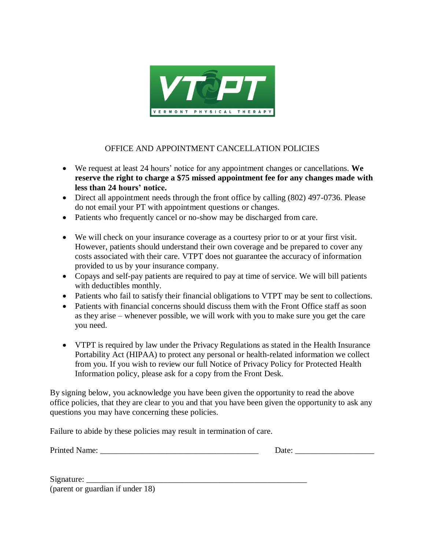

## OFFICE AND APPOINTMENT CANCELLATION POLICIES

- We request at least 24 hours' notice for any appointment changes or cancellations. **We reserve the right to charge a \$75 missed appointment fee for any changes made with less than 24 hours' notice.**
- Direct all appointment needs through the front office by calling (802) 497-0736. Please do not email your PT with appointment questions or changes.
- Patients who frequently cancel or no-show may be discharged from care.
- We will check on your insurance coverage as a courtesy prior to or at your first visit. However, patients should understand their own coverage and be prepared to cover any costs associated with their care. VTPT does not guarantee the accuracy of information provided to us by your insurance company.
- Copays and self-pay patients are required to pay at time of service. We will bill patients with deductibles monthly.
- Patients who fail to satisfy their financial obligations to VTPT may be sent to collections.
- Patients with financial concerns should discuss them with the Front Office staff as soon as they arise – whenever possible, we will work with you to make sure you get the care you need.
- VTPT is required by law under the Privacy Regulations as stated in the Health Insurance Portability Act (HIPAA) to protect any personal or health-related information we collect from you. If you wish to review our full Notice of Privacy Policy for Protected Health Information policy, please ask for a copy from the Front Desk.

By signing below, you acknowledge you have been given the opportunity to read the above office policies, that they are clear to you and that you have been given the opportunity to ask any questions you may have concerning these policies.

Failure to abide by these policies may result in termination of care.

| .<br>Printed<br>Name: |  |  |
|-----------------------|--|--|
|                       |  |  |

| Signature:                       |  |
|----------------------------------|--|
| (parent or guardian if under 18) |  |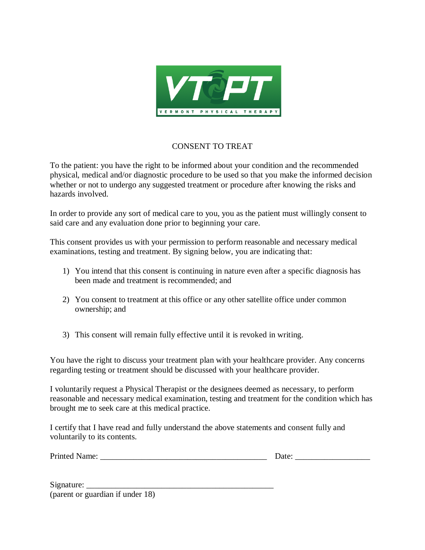

## CONSENT TO TREAT

To the patient: you have the right to be informed about your condition and the recommended physical, medical and/or diagnostic procedure to be used so that you make the informed decision whether or not to undergo any suggested treatment or procedure after knowing the risks and hazards involved.

In order to provide any sort of medical care to you, you as the patient must willingly consent to said care and any evaluation done prior to beginning your care.

This consent provides us with your permission to perform reasonable and necessary medical examinations, testing and treatment. By signing below, you are indicating that:

- 1) You intend that this consent is continuing in nature even after a specific diagnosis has been made and treatment is recommended; and
- 2) You consent to treatment at this office or any other satellite office under common ownership; and
- 3) This consent will remain fully effective until it is revoked in writing.

You have the right to discuss your treatment plan with your healthcare provider. Any concerns regarding testing or treatment should be discussed with your healthcare provider.

I voluntarily request a Physical Therapist or the designees deemed as necessary, to perform reasonable and necessary medical examination, testing and treatment for the condition which has brought me to seek care at this medical practice.

I certify that I have read and fully understand the above statements and consent fully and voluntarily to its contents.

| <b>Printed Name:</b> |  | -)ate |  |
|----------------------|--|-------|--|
|----------------------|--|-------|--|

| Signature:                       |  |
|----------------------------------|--|
| (parent or guardian if under 18) |  |